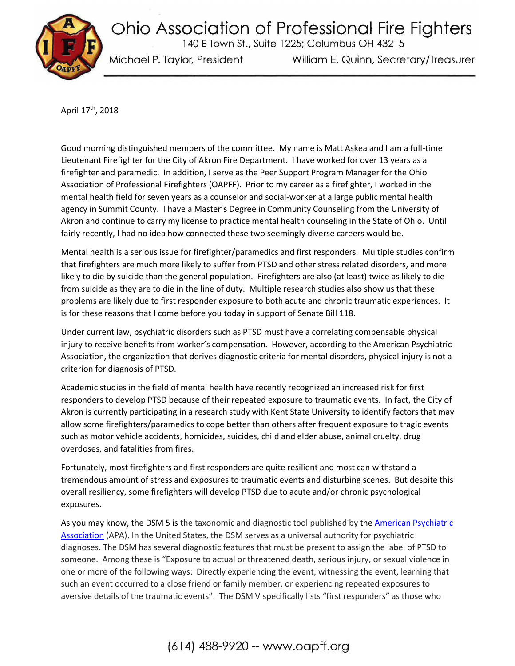Ohio Association of Professional Fire Fighters 140 E Town St., Suite 1225; Columbus OH 43215

Michael P. Taylor, President

William E. Quinn, Secretary/Treasurer

April 17<sup>th</sup>, 2018

Good morning distinguished members of the committee. My name is Matt Askea and I am a full-time Lieutenant Firefighter for the City of Akron Fire Department. I have worked for over 13 years as a firefighter and paramedic. In addition, I serve as the Peer Support Program Manager for the Ohio Association of Professional Firefighters (OAPFF). Prior to my career as a firefighter, I worked in the mental health field for seven years as a counselor and social-worker at a large public mental health agency in Summit County. I have a Master's Degree in Community Counseling from the University of Akron and continue to carry my license to practice mental health counseling in the State of Ohio. Until fairly recently, I had no idea how connected these two seemingly diverse careers would be.

Mental health is a serious issue for firefighter/paramedics and first responders. Multiple studies confirm that firefighters are much more likely to suffer from PTSD and other stress related disorders, and more likely to die by suicide than the general population. Firefighters are also (at least) twice as likely to die from suicide as they are to die in the line of duty. Multiple research studies also show us that these problems are likely due to first responder exposure to both acute and chronic traumatic experiences. It is for these reasons that I come before you today in support of Senate Bill 118.

Under current law, psychiatric disorders such as PTSD must have a correlating compensable physical injury to receive benefits from worker's compensation. However, according to the American Psychiatric Association, the organization that derives diagnostic criteria for mental disorders, physical injury is not a criterion for diagnosis of PTSD.

Academic studies in the field of mental health have recently recognized an increased risk for first responders to develop PTSD because of their repeated exposure to traumatic events. In fact, the City of Akron is currently participating in a research study with Kent State University to identify factors that may allow some firefighters/paramedics to cope better than others after frequent exposure to tragic events such as motor vehicle accidents, homicides, suicides, child and elder abuse, animal cruelty, drug overdoses, and fatalities from fires.

Fortunately, most firefighters and first responders are quite resilient and most can withstand a tremendous amount of stress and exposures to traumatic events and disturbing scenes. But despite this overall resiliency, some firefighters will develop PTSD due to acute and/or chronic psychological exposures.

As you may know, the DSM 5 is the taxonomic and diagnostic tool published by the American Psychiatric Association (APA). In the United States, the DSM serves as a universal authority for psychiatric diagnoses. The DSM has several diagnostic features that must be present to assign the label of PTSD to someone. Among these is "Exposure to actual or threatened death, serious injury, or sexual violence in one or more of the following ways: Directly experiencing the event, witnessing the event, learning that such an event occurred to a close friend or family member, or experiencing repeated exposures to aversive details of the traumatic events". The DSM V specifically lists "first responders" as those who

## (614) 488-9920 -- www.oapff.org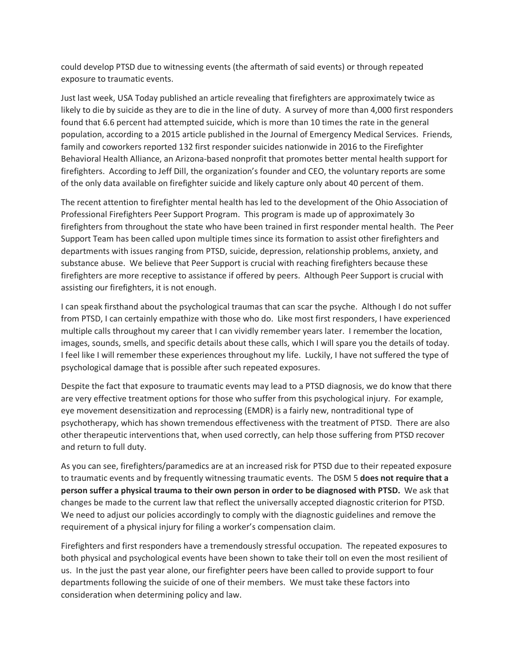could develop PTSD due to witnessing events (the aftermath of said events) or through repeated exposure to traumatic events.

Just last week, USA Today published an article revealing that firefighters are approximately twice as likely to die by suicide as they are to die in the line of duty. A survey of more than 4,000 first responders found that 6.6 percent had attempted suicide, which is more than 10 times the rate in the general population, according to a 2015 article published in the Journal of Emergency Medical Services. Friends, family and coworkers reported 132 first responder suicides nationwide in 2016 to the Firefighter Behavioral Health Alliance, an Arizona-based nonprofit that promotes better mental health support for firefighters. According to Jeff Dill, the organization's founder and CEO, the voluntary reports are some of the only data available on firefighter suicide and likely capture only about 40 percent of them.

The recent attention to firefighter mental health has led to the development of the Ohio Association of Professional Firefighters Peer Support Program. This program is made up of approximately 3o firefighters from throughout the state who have been trained in first responder mental health. The Peer Support Team has been called upon multiple times since its formation to assist other firefighters and departments with issues ranging from PTSD, suicide, depression, relationship problems, anxiety, and substance abuse. We believe that Peer Support is crucial with reaching firefighters because these firefighters are more receptive to assistance if offered by peers. Although Peer Support is crucial with assisting our firefighters, it is not enough.

I can speak firsthand about the psychological traumas that can scar the psyche. Although I do not suffer from PTSD, I can certainly empathize with those who do. Like most first responders, I have experienced multiple calls throughout my career that I can vividly remember years later. I remember the location, images, sounds, smells, and specific details about these calls, which I will spare you the details of today. I feel like I will remember these experiences throughout my life. Luckily, I have not suffered the type of psychological damage that is possible after such repeated exposures.

Despite the fact that exposure to traumatic events may lead to a PTSD diagnosis, we do know that there are very effective treatment options for those who suffer from this psychological injury. For example, eye movement desensitization and reprocessing (EMDR) is a fairly new, nontraditional type of psychotherapy, which has shown tremendous effectiveness with the treatment of PTSD. There are also other therapeutic interventions that, when used correctly, can help those suffering from PTSD recover and return to full duty.

As you can see, firefighters/paramedics are at an increased risk for PTSD due to their repeated exposure to traumatic events and by frequently witnessing traumatic events. The DSM 5 **does not require that a person suffer a physical trauma to their own person in order to be diagnosed with PTSD.** We ask that changes be made to the current law that reflect the universally accepted diagnostic criterion for PTSD. We need to adjust our policies accordingly to comply with the diagnostic guidelines and remove the requirement of a physical injury for filing a worker's compensation claim.

Firefighters and first responders have a tremendously stressful occupation. The repeated exposures to both physical and psychological events have been shown to take their toll on even the most resilient of us. In the just the past year alone, our firefighter peers have been called to provide support to four departments following the suicide of one of their members. We must take these factors into consideration when determining policy and law.